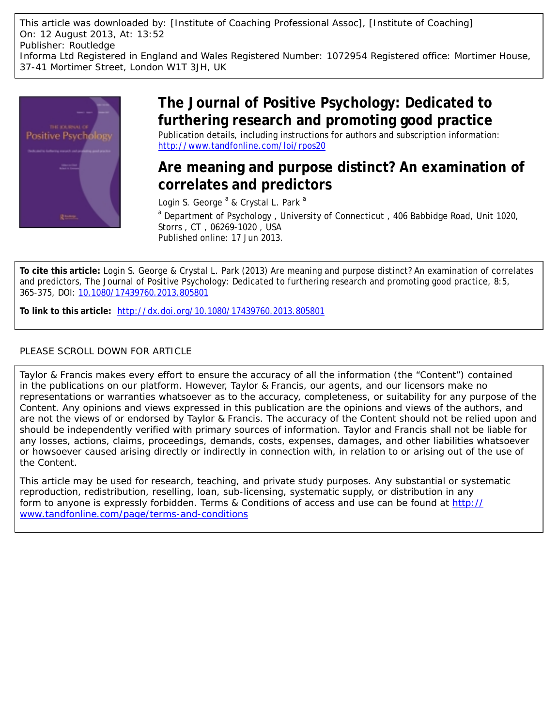This article was downloaded by: [Institute of Coaching Professional Assoc], [Institute of Coaching] On: 12 August 2013, At: 13:52 Publisher: Routledge Informa Ltd Registered in England and Wales Registered Number: 1072954 Registered office: Mortimer House, 37-41 Mortimer Street, London W1T 3JH, UK



## **The Journal of Positive Psychology: Dedicated to furthering research and promoting good practice** Publication details, including instructions for authors and subscription information:

<http://www.tandfonline.com/loi/rpos20>

# **Are meaning and purpose distinct? An examination of correlates and predictors**

Login S. George <sup>a</sup> & Crystal L. Park <sup>a</sup>

<sup>a</sup> Department of Psychology, University of Connecticut, 406 Babbidge Road, Unit 1020, Storrs , CT , 06269-1020 , USA Published online: 17 Jun 2013.

**To cite this article:** Login S. George & Crystal L. Park (2013) Are meaning and purpose distinct? An examination of correlates and predictors, The Journal of Positive Psychology: Dedicated to furthering research and promoting good practice, 8:5, 365-375, DOI: [10.1080/17439760.2013.805801](http://www.tandfonline.com/action/showCitFormats?doi=10.1080/17439760.2013.805801)

**To link to this article:** <http://dx.doi.org/10.1080/17439760.2013.805801>

## PLEASE SCROLL DOWN FOR ARTICLE

Taylor & Francis makes every effort to ensure the accuracy of all the information (the "Content") contained in the publications on our platform. However, Taylor & Francis, our agents, and our licensors make no representations or warranties whatsoever as to the accuracy, completeness, or suitability for any purpose of the Content. Any opinions and views expressed in this publication are the opinions and views of the authors, and are not the views of or endorsed by Taylor & Francis. The accuracy of the Content should not be relied upon and should be independently verified with primary sources of information. Taylor and Francis shall not be liable for any losses, actions, claims, proceedings, demands, costs, expenses, damages, and other liabilities whatsoever or howsoever caused arising directly or indirectly in connection with, in relation to or arising out of the use of the Content.

This article may be used for research, teaching, and private study purposes. Any substantial or systematic reproduction, redistribution, reselling, loan, sub-licensing, systematic supply, or distribution in any form to anyone is expressly forbidden. Terms & Conditions of access and use can be found at [http://](http://www.tandfonline.com/page/terms-and-conditions) [www.tandfonline.com/page/terms-and-conditions](http://www.tandfonline.com/page/terms-and-conditions)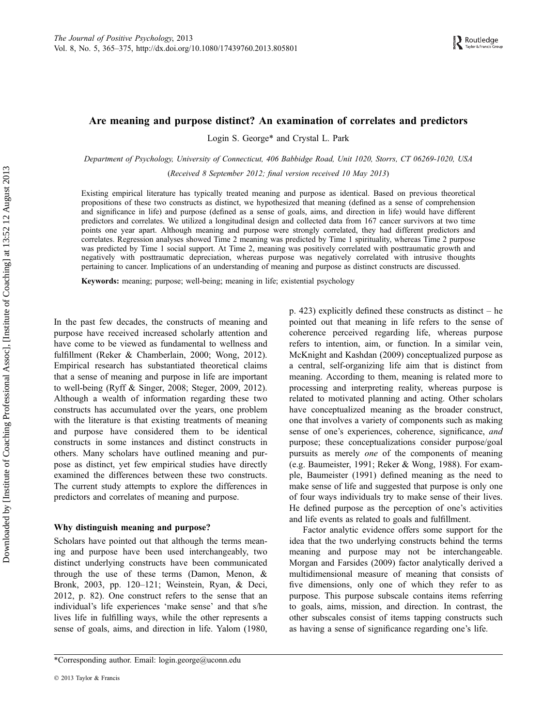## Are meaning and purpose distinct? An examination of correlates and predictors

Login S. George\* and Crystal L. Park

Department of Psychology, University of Connecticut, 406 Babbidge Road, Unit 1020, Storrs, CT 06269-1020, USA

(Received 8 September 2012; final version received 10 May 2013)

Existing empirical literature has typically treated meaning and purpose as identical. Based on previous theoretical propositions of these two constructs as distinct, we hypothesized that meaning (defined as a sense of comprehension and significance in life) and purpose (defined as a sense of goals, aims, and direction in life) would have different predictors and correlates. We utilized a longitudinal design and collected data from 167 cancer survivors at two time points one year apart. Although meaning and purpose were strongly correlated, they had different predictors and correlates. Regression analyses showed Time 2 meaning was predicted by Time 1 spirituality, whereas Time 2 purpose was predicted by Time 1 social support. At Time 2, meaning was positively correlated with posttraumatic growth and negatively with posttraumatic depreciation, whereas purpose was negatively correlated with intrusive thoughts pertaining to cancer. Implications of an understanding of meaning and purpose as distinct constructs are discussed.

Keywords: meaning; purpose; well-being; meaning in life; existential psychology

In the past few decades, the constructs of meaning and purpose have received increased scholarly attention and have come to be viewed as fundamental to wellness and fulfillment (Reker & Chamberlain, 2000; Wong, 2012). Empirical research has substantiated theoretical claims that a sense of meaning and purpose in life are important to well-being (Ryff & Singer, 2008; Steger, 2009, 2012). Although a wealth of information regarding these two constructs has accumulated over the years, one problem with the literature is that existing treatments of meaning and purpose have considered them to be identical constructs in some instances and distinct constructs in others. Many scholars have outlined meaning and purpose as distinct, yet few empirical studies have directly examined the differences between these two constructs. The current study attempts to explore the differences in predictors and correlates of meaning and purpose.

#### Why distinguish meaning and purpose?

Scholars have pointed out that although the terms meaning and purpose have been used interchangeably, two distinct underlying constructs have been communicated through the use of these terms (Damon, Menon, & Bronk, 2003, pp. 120–121; Weinstein, Ryan, & Deci, 2012, p. 82). One construct refers to the sense that an individual's life experiences 'make sense' and that s/he lives life in fulfilling ways, while the other represents a sense of goals, aims, and direction in life. Yalom (1980,

\*Corresponding author. Email: login.george@uconn.edu

p. 423) explicitly defined these constructs as distinct – he pointed out that meaning in life refers to the sense of coherence perceived regarding life, whereas purpose refers to intention, aim, or function. In a similar vein, McKnight and Kashdan (2009) conceptualized purpose as a central, self-organizing life aim that is distinct from meaning. According to them, meaning is related more to processing and interpreting reality, whereas purpose is related to motivated planning and acting. Other scholars have conceptualized meaning as the broader construct, one that involves a variety of components such as making sense of one's experiences, coherence, significance, and purpose; these conceptualizations consider purpose/goal pursuits as merely one of the components of meaning (e.g. Baumeister, 1991; Reker & Wong, 1988). For example, Baumeister (1991) defined meaning as the need to make sense of life and suggested that purpose is only one of four ways individuals try to make sense of their lives. He defined purpose as the perception of one's activities and life events as related to goals and fulfillment.

Factor analytic evidence offers some support for the idea that the two underlying constructs behind the terms meaning and purpose may not be interchangeable. Morgan and Farsides (2009) factor analytically derived a multidimensional measure of meaning that consists of five dimensions, only one of which they refer to as purpose. This purpose subscale contains items referring to goals, aims, mission, and direction. In contrast, the other subscales consist of items tapping constructs such as having a sense of significance regarding one's life.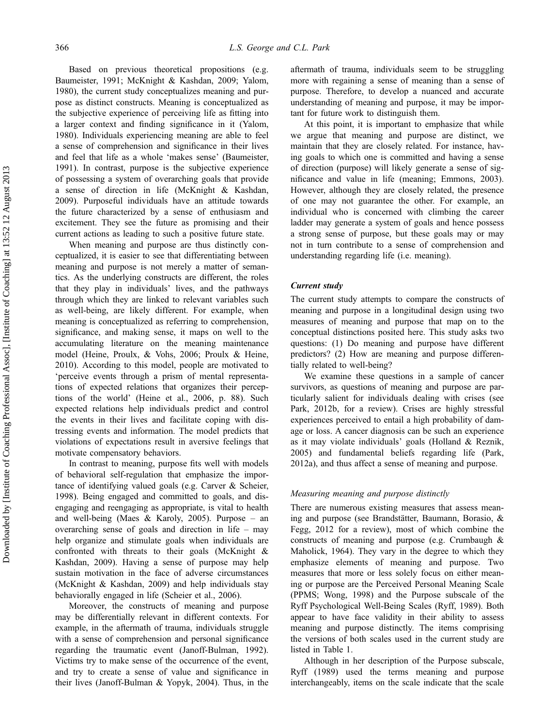Based on previous theoretical propositions (e.g. Baumeister, 1991; McKnight & Kashdan, 2009; Yalom, 1980), the current study conceptualizes meaning and purpose as distinct constructs. Meaning is conceptualized as the subjective experience of perceiving life as fitting into a larger context and finding significance in it (Yalom, 1980). Individuals experiencing meaning are able to feel a sense of comprehension and significance in their lives and feel that life as a whole 'makes sense' (Baumeister, 1991). In contrast, purpose is the subjective experience of possessing a system of overarching goals that provide a sense of direction in life (McKnight & Kashdan, 2009). Purposeful individuals have an attitude towards the future characterized by a sense of enthusiasm and excitement. They see the future as promising and their current actions as leading to such a positive future state.

When meaning and purpose are thus distinctly conceptualized, it is easier to see that differentiating between meaning and purpose is not merely a matter of semantics. As the underlying constructs are different, the roles that they play in individuals' lives, and the pathways through which they are linked to relevant variables such as well-being, are likely different. For example, when meaning is conceptualized as referring to comprehension, significance, and making sense, it maps on well to the accumulating literature on the meaning maintenance model (Heine, Proulx, & Vohs, 2006; Proulx & Heine, 2010). According to this model, people are motivated to 'perceive events through a prism of mental representations of expected relations that organizes their perceptions of the world' (Heine et al., 2006, p. 88). Such expected relations help individuals predict and control the events in their lives and facilitate coping with distressing events and information. The model predicts that violations of expectations result in aversive feelings that motivate compensatory behaviors.

In contrast to meaning, purpose fits well with models of behavioral self-regulation that emphasize the importance of identifying valued goals (e.g. Carver & Scheier, 1998). Being engaged and committed to goals, and disengaging and reengaging as appropriate, is vital to health and well-being (Maes & Karoly, 2005). Purpose – an overarching sense of goals and direction in life – may help organize and stimulate goals when individuals are confronted with threats to their goals (McKnight & Kashdan, 2009). Having a sense of purpose may help sustain motivation in the face of adverse circumstances (McKnight & Kashdan, 2009) and help individuals stay behaviorally engaged in life (Scheier et al., 2006).

Moreover, the constructs of meaning and purpose may be differentially relevant in different contexts. For example, in the aftermath of trauma, individuals struggle with a sense of comprehension and personal significance regarding the traumatic event (Janoff-Bulman, 1992). Victims try to make sense of the occurrence of the event, and try to create a sense of value and significance in their lives (Janoff-Bulman & Yopyk, 2004). Thus, in the aftermath of trauma, individuals seem to be struggling more with regaining a sense of meaning than a sense of purpose. Therefore, to develop a nuanced and accurate understanding of meaning and purpose, it may be important for future work to distinguish them.

At this point, it is important to emphasize that while we argue that meaning and purpose are distinct, we maintain that they are closely related. For instance, having goals to which one is committed and having a sense of direction (purpose) will likely generate a sense of significance and value in life (meaning; Emmons, 2003). However, although they are closely related, the presence of one may not guarantee the other. For example, an individual who is concerned with climbing the career ladder may generate a system of goals and hence possess a strong sense of purpose, but these goals may or may not in turn contribute to a sense of comprehension and understanding regarding life (i.e. meaning).

#### Current study

The current study attempts to compare the constructs of meaning and purpose in a longitudinal design using two measures of meaning and purpose that map on to the conceptual distinctions posited here. This study asks two questions: (1) Do meaning and purpose have different predictors? (2) How are meaning and purpose differentially related to well-being?

We examine these questions in a sample of cancer survivors, as questions of meaning and purpose are particularly salient for individuals dealing with crises (see Park, 2012b, for a review). Crises are highly stressful experiences perceived to entail a high probability of damage or loss. A cancer diagnosis can be such an experience as it may violate individuals' goals (Holland & Reznik, 2005) and fundamental beliefs regarding life (Park, 2012a), and thus affect a sense of meaning and purpose.

#### Measuring meaning and purpose distinctly

There are numerous existing measures that assess meaning and purpose (see Brandstätter, Baumann, Borasio, & Fegg, 2012 for a review), most of which combine the constructs of meaning and purpose (e.g. Crumbaugh & Maholick, 1964). They vary in the degree to which they emphasize elements of meaning and purpose. Two measures that more or less solely focus on either meaning or purpose are the Perceived Personal Meaning Scale (PPMS; Wong, 1998) and the Purpose subscale of the Ryff Psychological Well-Being Scales (Ryff, 1989). Both appear to have face validity in their ability to assess meaning and purpose distinctly. The items comprising the versions of both scales used in the current study are listed in Table 1.

Although in her description of the Purpose subscale, Ryff (1989) used the terms meaning and purpose interchangeably, items on the scale indicate that the scale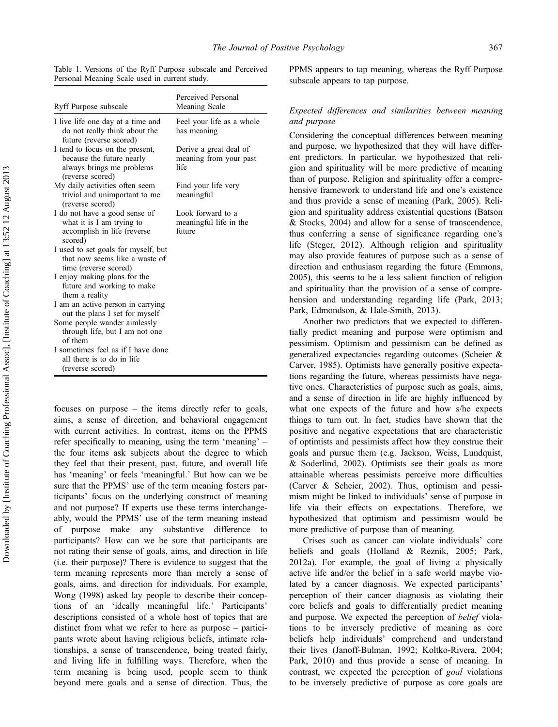(reverse scored)

| Ryff Purpose subscale                                                                                         | Perceived Personal<br>Meaning Scale                      |  |
|---------------------------------------------------------------------------------------------------------------|----------------------------------------------------------|--|
| I live life one day at a time and<br>do not really think about the<br>future (reverse scored)                 | Feel your life as a whole<br>has meaning                 |  |
| I tend to focus on the present,<br>because the future nearly<br>always brings me problems<br>(reverse scored) | Derive a great deal of<br>meaning from your past<br>life |  |
| My daily activities often seem<br>trivial and unimportant to me<br>(reverse scored)                           | Find your life very<br>meaningful                        |  |
| I do not have a good sense of<br>what it is I am trying to<br>accomplish in life (reverse<br>scored)          | Look forward to a<br>meaningful life in the<br>future    |  |
| I used to set goals for myself, but<br>that now seems like a waste of<br>time (reverse scored)                |                                                          |  |
| I enjoy making plans for the<br>future and working to make<br>them a reality                                  |                                                          |  |
| I am an active person in carrying<br>out the plans I set for myself                                           |                                                          |  |
| Some people wander aimlessly<br>through life, but I am not one<br>of them                                     |                                                          |  |
| I sometimes feel as if I have done<br>all there is to do in life                                              |                                                          |  |

Table 1. Versions of the Ryff Purpose subscale and Perceived Personal Meaning Scale used in current study.

focuses on purpose – the items directly refer to goals, aims, a sense of direction, and behavioral engagement with current activities. In contrast, items on the PPMS refer specifically to meaning, using the term 'meaning' – the four items ask subjects about the degree to which they feel that their present, past, future, and overall life has 'meaning' or feels 'meaningful.' But how can we be sure that the PPMS' use of the term meaning fosters participants' focus on the underlying construct of meaning and not purpose? If experts use these terms interchangeably, would the PPMS' use of the term meaning instead of purpose make any substantive difference to participants? How can we be sure that participants are not rating their sense of goals, aims, and direction in life (i.e. their purpose)? There is evidence to suggest that the term meaning represents more than merely a sense of goals, aims, and direction for individuals. For example, Wong (1998) asked lay people to describe their conceptions of an 'ideally meaningful life.' Participants' descriptions consisted of a whole host of topics that are distinct from what we refer to here as purpose – participants wrote about having religious beliefs, intimate relationships, a sense of transcendence, being treated fairly, and living life in fulfilling ways. Therefore, when the term meaning is being used, people seem to think beyond mere goals and a sense of direction. Thus, the PPMS appears to tap meaning, whereas the Ryff Purpose subscale appears to tap purpose.

## Expected differences and similarities between meaning and purpose

Considering the conceptual differences between meaning and purpose, we hypothesized that they will have different predictors. In particular, we hypothesized that religion and spirituality will be more predictive of meaning than of purpose. Religion and spirituality offer a comprehensive framework to understand life and one's existence and thus provide a sense of meaning (Park, 2005). Religion and spirituality address existential questions (Batson & Stocks, 2004) and allow for a sense of transcendence, thus conferring a sense of significance regarding one's life (Steger, 2012). Although religion and spirituality may also provide features of purpose such as a sense of direction and enthusiasm regarding the future (Emmons, 2005), this seems to be a less salient function of religion and spirituality than the provision of a sense of comprehension and understanding regarding life (Park, 2013; Park, Edmondson, & Hale-Smith, 2013).

Another two predictors that we expected to differentially predict meaning and purpose were optimism and pessimism. Optimism and pessimism can be defined as generalized expectancies regarding outcomes (Scheier & Carver, 1985). Optimists have generally positive expectations regarding the future, whereas pessimists have negative ones. Characteristics of purpose such as goals, aims, and a sense of direction in life are highly influenced by what one expects of the future and how s/he expects things to turn out. In fact, studies have shown that the positive and negative expectations that are characteristic of optimists and pessimists affect how they construe their goals and pursue them (e.g. Jackson, Weiss, Lundquist, & Soderlind, 2002). Optimists see their goals as more attainable whereas pessimists perceive more difficulties (Carver & Scheier, 2002). Thus, optimism and pessimism might be linked to individuals' sense of purpose in life via their effects on expectations. Therefore, we hypothesized that optimism and pessimism would be more predictive of purpose than of meaning.

Crises such as cancer can violate individuals' core beliefs and goals (Holland & Reznik, 2005; Park, 2012a). For example, the goal of living a physically active life and/or the belief in a safe world maybe violated by a cancer diagnosis. We expected participants' perception of their cancer diagnosis as violating their core beliefs and goals to differentially predict meaning and purpose. We expected the perception of belief violations to be inversely predictive of meaning as core beliefs help individuals' comprehend and understand their lives (Janoff-Bulman, 1992; Koltko-Rivera, 2004; Park, 2010) and thus provide a sense of meaning. In contrast, we expected the perception of goal violations to be inversely predictive of purpose as core goals are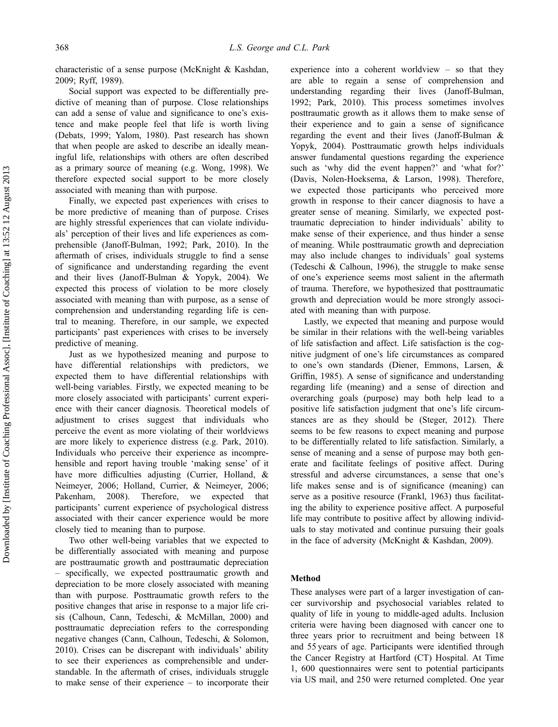characteristic of a sense purpose (McKnight & Kashdan, 2009; Ryff, 1989).

Social support was expected to be differentially predictive of meaning than of purpose. Close relationships can add a sense of value and significance to one's existence and make people feel that life is worth living (Debats, 1999; Yalom, 1980). Past research has shown that when people are asked to describe an ideally meaningful life, relationships with others are often described as a primary source of meaning (e.g. Wong, 1998). We therefore expected social support to be more closely associated with meaning than with purpose.

Finally, we expected past experiences with crises to be more predictive of meaning than of purpose. Crises are highly stressful experiences that can violate individuals' perception of their lives and life experiences as comprehensible (Janoff-Bulman, 1992; Park, 2010). In the aftermath of crises, individuals struggle to find a sense of significance and understanding regarding the event and their lives (Janoff-Bulman & Yopyk, 2004). We expected this process of violation to be more closely associated with meaning than with purpose, as a sense of comprehension and understanding regarding life is central to meaning. Therefore, in our sample, we expected participants' past experiences with crises to be inversely predictive of meaning.

Just as we hypothesized meaning and purpose to have differential relationships with predictors, we expected them to have differential relationships with well-being variables. Firstly, we expected meaning to be more closely associated with participants' current experience with their cancer diagnosis. Theoretical models of adjustment to crises suggest that individuals who perceive the event as more violating of their worldviews are more likely to experience distress (e.g. Park, 2010). Individuals who perceive their experience as incomprehensible and report having trouble 'making sense' of it have more difficulties adjusting (Currier, Holland, & Neimeyer, 2006; Holland, Currier, & Neimeyer, 2006; Pakenham, 2008). Therefore, we expected that participants' current experience of psychological distress associated with their cancer experience would be more closely tied to meaning than to purpose.

Two other well-being variables that we expected to be differentially associated with meaning and purpose are posttraumatic growth and posttraumatic depreciation – specifically, we expected posttraumatic growth and depreciation to be more closely associated with meaning than with purpose. Posttraumatic growth refers to the positive changes that arise in response to a major life crisis (Calhoun, Cann, Tedeschi, & McMillan, 2000) and posttraumatic depreciation refers to the corresponding negative changes (Cann, Calhoun, Tedeschi, & Solomon, 2010). Crises can be discrepant with individuals' ability to see their experiences as comprehensible and understandable. In the aftermath of crises, individuals struggle to make sense of their experience – to incorporate their experience into a coherent worldview – so that they are able to regain a sense of comprehension and understanding regarding their lives (Janoff-Bulman, 1992; Park, 2010). This process sometimes involves posttraumatic growth as it allows them to make sense of their experience and to gain a sense of significance regarding the event and their lives (Janoff-Bulman & Yopyk, 2004). Posttraumatic growth helps individuals answer fundamental questions regarding the experience such as 'why did the event happen?' and 'what for?' (Davis, Nolen-Hoeksema, & Larson, 1998). Therefore, we expected those participants who perceived more growth in response to their cancer diagnosis to have a greater sense of meaning. Similarly, we expected posttraumatic depreciation to hinder individuals' ability to make sense of their experience, and thus hinder a sense of meaning. While posttraumatic growth and depreciation may also include changes to individuals' goal systems (Tedeschi & Calhoun, 1996), the struggle to make sense of one's experience seems most salient in the aftermath of trauma. Therefore, we hypothesized that posttraumatic growth and depreciation would be more strongly associated with meaning than with purpose.

Lastly, we expected that meaning and purpose would be similar in their relations with the well-being variables of life satisfaction and affect. Life satisfaction is the cognitive judgment of one's life circumstances as compared to one's own standards (Diener, Emmons, Larsen, & Griffin, 1985). A sense of significance and understanding regarding life (meaning) and a sense of direction and overarching goals (purpose) may both help lead to a positive life satisfaction judgment that one's life circumstances are as they should be (Steger, 2012). There seems to be few reasons to expect meaning and purpose to be differentially related to life satisfaction. Similarly, a sense of meaning and a sense of purpose may both generate and facilitate feelings of positive affect. During stressful and adverse circumstances, a sense that one's life makes sense and is of significance (meaning) can serve as a positive resource (Frankl, 1963) thus facilitating the ability to experience positive affect. A purposeful life may contribute to positive affect by allowing individuals to stay motivated and continue pursuing their goals in the face of adversity (McKnight & Kashdan, 2009).

#### Method

These analyses were part of a larger investigation of cancer survivorship and psychosocial variables related to quality of life in young to middle-aged adults. Inclusion criteria were having been diagnosed with cancer one to three years prior to recruitment and being between 18 and 55 years of age. Participants were identified through the Cancer Registry at Hartford (CT) Hospital. At Time 1, 600 questionnaires were sent to potential participants via US mail, and 250 were returned completed. One year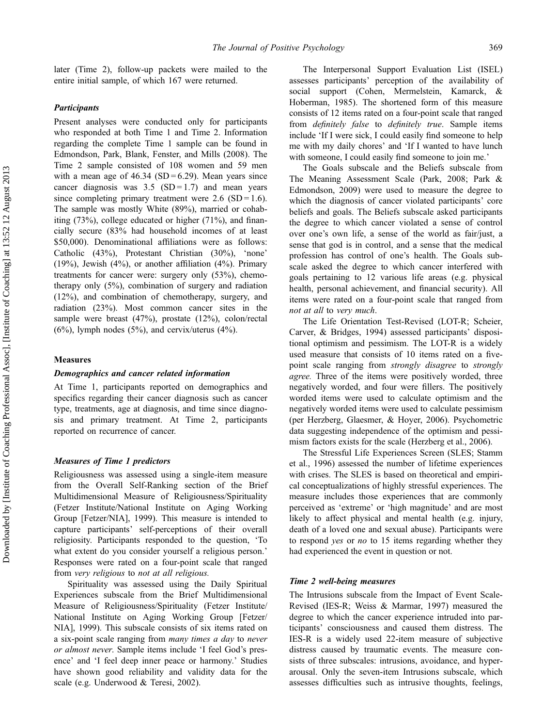later (Time 2), follow-up packets were mailed to the entire initial sample, of which 167 were returned.

## **Participants**

Present analyses were conducted only for participants who responded at both Time 1 and Time 2. Information regarding the complete Time 1 sample can be found in Edmondson, Park, Blank, Fenster, and Mills (2008). The Time 2 sample consisted of 108 women and 59 men with a mean age of  $46.34$  (SD = 6.29). Mean years since cancer diagnosis was  $3.5$  (SD = 1.7) and mean years since completing primary treatment were  $2.6$  (SD = 1.6). The sample was mostly White (89%), married or cohabiting (73%), college educated or higher (71%), and financially secure (83% had household incomes of at least \$50,000). Denominational affiliations were as follows: Catholic (43%), Protestant Christian (30%), 'none' (19%), Jewish (4%), or another affiliation (4%). Primary treatments for cancer were: surgery only (53%), chemotherapy only (5%), combination of surgery and radiation (12%), and combination of chemotherapy, surgery, and radiation (23%). Most common cancer sites in the sample were breast (47%), prostate (12%), colon/rectal  $(6\%)$ , lymph nodes  $(5\%)$ , and cervix/uterus  $(4\%)$ .

#### Measures

#### Demographics and cancer related information

At Time 1, participants reported on demographics and specifics regarding their cancer diagnosis such as cancer type, treatments, age at diagnosis, and time since diagnosis and primary treatment. At Time 2, participants reported on recurrence of cancer.

## Measures of Time 1 predictors

Religiousness was assessed using a single-item measure from the Overall Self-Ranking section of the Brief Multidimensional Measure of Religiousness/Spirituality (Fetzer Institute/National Institute on Aging Working Group [Fetzer/NIA], 1999). This measure is intended to capture participants' self-perceptions of their overall religiosity. Participants responded to the question, 'To what extent do you consider yourself a religious person.' Responses were rated on a four-point scale that ranged from very religious to not at all religious.

Spirituality was assessed using the Daily Spiritual Experiences subscale from the Brief Multidimensional Measure of Religiousness/Spirituality (Fetzer Institute/ National Institute on Aging Working Group [Fetzer/ NIA], 1999). This subscale consists of six items rated on a six-point scale ranging from many times a day to never or almost never. Sample items include 'I feel God's presence' and 'I feel deep inner peace or harmony.' Studies have shown good reliability and validity data for the scale (e.g. Underwood & Teresi, 2002).

The Interpersonal Support Evaluation List (ISEL) assesses participants' perception of the availability of social support (Cohen, Mermelstein, Kamarck, & Hoberman, 1985). The shortened form of this measure consists of 12 items rated on a four-point scale that ranged from definitely false to definitely true. Sample items include 'If I were sick, I could easily find someone to help me with my daily chores' and 'If I wanted to have lunch with someone, I could easily find someone to join me.'

The Goals subscale and the Beliefs subscale from The Meaning Assessment Scale (Park, 2008; Park & Edmondson, 2009) were used to measure the degree to which the diagnosis of cancer violated participants' core beliefs and goals. The Beliefs subscale asked participants the degree to which cancer violated a sense of control over one's own life, a sense of the world as fair/just, a sense that god is in control, and a sense that the medical profession has control of one's health. The Goals subscale asked the degree to which cancer interfered with goals pertaining to 12 various life areas (e.g. physical health, personal achievement, and financial security). All items were rated on a four-point scale that ranged from not at all to very much.

The Life Orientation Test-Revised (LOT-R; Scheier, Carver, & Bridges, 1994) assessed participants' dispositional optimism and pessimism. The LOT-R is a widely used measure that consists of 10 items rated on a fivepoint scale ranging from *strongly disagree* to *strongly* agree. Three of the items were positively worded, three negatively worded, and four were fillers. The positively worded items were used to calculate optimism and the negatively worded items were used to calculate pessimism (per Herzberg, Glaesmer, & Hoyer, 2006). Psychometric data suggesting independence of the optimism and pessimism factors exists for the scale (Herzberg et al., 2006).

The Stressful Life Experiences Screen (SLES; Stamm et al., 1996) assessed the number of lifetime experiences with crises. The SLES is based on theoretical and empirical conceptualizations of highly stressful experiences. The measure includes those experiences that are commonly perceived as 'extreme' or 'high magnitude' and are most likely to affect physical and mental health (e.g. injury, death of a loved one and sexual abuse). Participants were to respond yes or no to 15 items regarding whether they had experienced the event in question or not.

#### Time 2 well-being measures

The Intrusions subscale from the Impact of Event Scale-Revised (IES-R; Weiss & Marmar, 1997) measured the degree to which the cancer experience intruded into participants' consciousness and caused them distress. The IES-R is a widely used 22-item measure of subjective distress caused by traumatic events. The measure consists of three subscales: intrusions, avoidance, and hyperarousal. Only the seven-item Intrusions subscale, which assesses difficulties such as intrusive thoughts, feelings,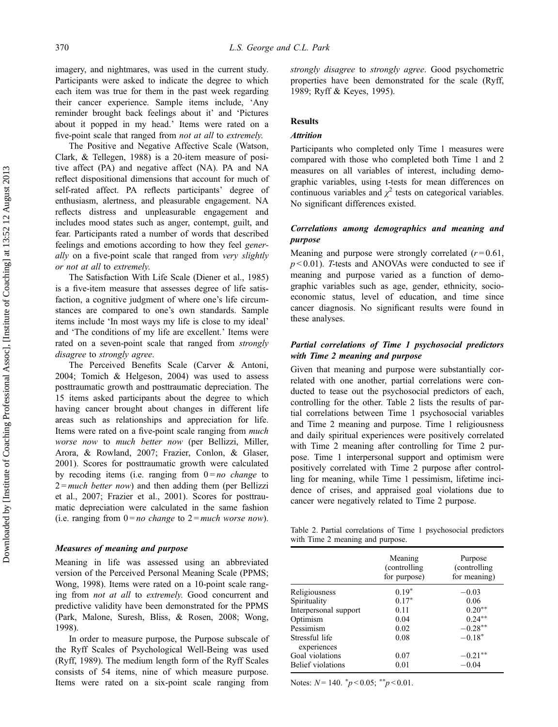imagery, and nightmares, was used in the current study. Participants were asked to indicate the degree to which each item was true for them in the past week regarding their cancer experience. Sample items include, 'Any reminder brought back feelings about it' and 'Pictures about it popped in my head.' Items were rated on a five-point scale that ranged from not at all to extremely.

The Positive and Negative Affective Scale (Watson, Clark, & Tellegen, 1988) is a 20-item measure of positive affect (PA) and negative affect (NA). PA and NA reflect dispositional dimensions that account for much of self-rated affect. PA reflects participants' degree of enthusiasm, alertness, and pleasurable engagement. NA reflects distress and unpleasurable engagement and includes mood states such as anger, contempt, guilt, and fear. Participants rated a number of words that described feelings and emotions according to how they feel generally on a five-point scale that ranged from very slightly or not at all to extremely.

The Satisfaction With Life Scale (Diener et al., 1985) is a five-item measure that assesses degree of life satisfaction, a cognitive judgment of where one's life circumstances are compared to one's own standards. Sample items include 'In most ways my life is close to my ideal' and 'The conditions of my life are excellent.' Items were rated on a seven-point scale that ranged from *strongly* disagree to strongly agree.

The Perceived Benefits Scale (Carver & Antoni, 2004; Tomich & Helgeson, 2004) was used to assess posttraumatic growth and posttraumatic depreciation. The 15 items asked participants about the degree to which having cancer brought about changes in different life areas such as relationships and appreciation for life. Items were rated on a five-point scale ranging from much worse now to much better now (per Bellizzi, Miller, Arora, & Rowland, 2007; Frazier, Conlon, & Glaser, 2001). Scores for posttraumatic growth were calculated by recoding items (i.e. ranging from  $0 = no$  *change* to  $2 = much better now$ ) and then adding them (per Bellizzi et al., 2007; Frazier et al., 2001). Scores for posttraumatic depreciation were calculated in the same fashion (i.e. ranging from  $0 = no$  change to  $2 = much$  worse now).

#### Measures of meaning and purpose

Meaning in life was assessed using an abbreviated version of the Perceived Personal Meaning Scale (PPMS; Wong, 1998). Items were rated on a 10-point scale ranging from not at all to extremely. Good concurrent and predictive validity have been demonstrated for the PPMS (Park, Malone, Suresh, Bliss, & Rosen, 2008; Wong, 1998).

In order to measure purpose, the Purpose subscale of the Ryff Scales of Psychological Well-Being was used (Ryff, 1989). The medium length form of the Ryff Scales consists of 54 items, nine of which measure purpose. Items were rated on a six-point scale ranging from strongly disagree to strongly agree. Good psychometric properties have been demonstrated for the scale (Ryff, 1989; Ryff & Keyes, 1995).

## Results

#### Attrition

Participants who completed only Time 1 measures were compared with those who completed both Time 1 and 2 measures on all variables of interest, including demographic variables, using t-tests for mean differences on continuous variables and  $\chi^2$  tests on categorical variables. No significant differences existed.

## Correlations among demographics and meaning and purpose

Meaning and purpose were strongly correlated  $(r=0.61,$  $p < 0.01$ ). T-tests and ANOVAs were conducted to see if meaning and purpose varied as a function of demographic variables such as age, gender, ethnicity, socioeconomic status, level of education, and time since cancer diagnosis. No significant results were found in these analyses.

## Partial correlations of Time 1 psychosocial predictors with Time 2 meaning and purpose

Given that meaning and purpose were substantially correlated with one another, partial correlations were conducted to tease out the psychosocial predictors of each, controlling for the other. Table 2 lists the results of partial correlations between Time 1 psychosocial variables and Time 2 meaning and purpose. Time 1 religiousness and daily spiritual experiences were positively correlated with Time 2 meaning after controlling for Time 2 purpose. Time 1 interpersonal support and optimism were positively correlated with Time 2 purpose after controlling for meaning, while Time 1 pessimism, lifetime incidence of crises, and appraised goal violations due to cancer were negatively related to Time 2 purpose.

Table 2. Partial correlations of Time 1 psychosocial predictors with Time 2 meaning and purpose.

|                               | Meaning<br>(controlling)<br>for purpose) | Purpose<br>(controlling)<br>for meaning) |
|-------------------------------|------------------------------------------|------------------------------------------|
| Religiousness                 | $0.19*$                                  | $-0.03$                                  |
| Spirituality                  | $0.17*$                                  | 0.06                                     |
| Interpersonal support         | 0.11                                     | $0.20**$                                 |
| Optimism                      | 0.04                                     | $0.24***$                                |
| Pessimism                     | 0.02                                     | $-0.28***$                               |
| Stressful life<br>experiences | 0.08                                     | $-0.18*$                                 |
| Goal violations               | 0.07                                     | $-0.21***$                               |
| <b>Belief</b> violations      | 0.01                                     | $-0.04$                                  |

Notes:  $N = 140$ .  $p < 0.05$ ;  $p < 0.01$ .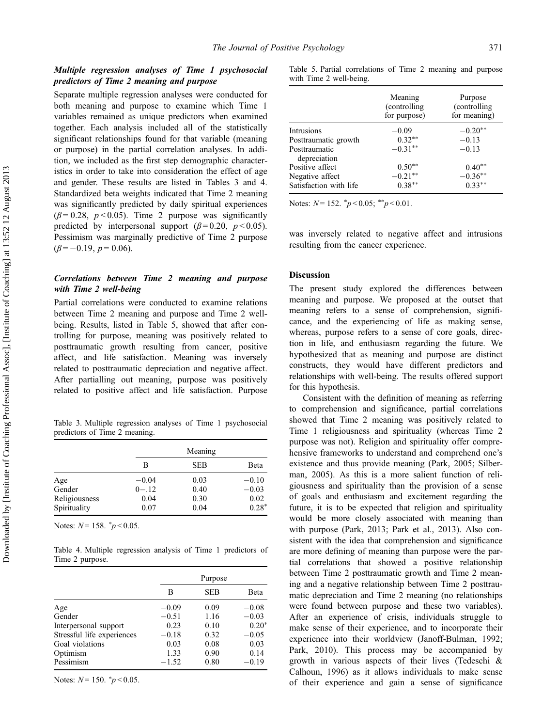## Multiple regression analyses of Time 1 psychosocial predictors of Time 2 meaning and purpose

Separate multiple regression analyses were conducted for both meaning and purpose to examine which Time 1 variables remained as unique predictors when examined together. Each analysis included all of the statistically significant relationships found for that variable (meaning or purpose) in the partial correlation analyses. In addition, we included as the first step demographic characteristics in order to take into consideration the effect of age and gender. These results are listed in Tables 3 and 4. Standardized beta weights indicated that Time 2 meaning was significantly predicted by daily spiritual experiences  $(\beta = 0.28, p < 0.05)$ . Time 2 purpose was significantly predicted by interpersonal support ( $\beta$ =0.20,  $p$  <0.05). Pessimism was marginally predictive of Time 2 purpose  $(\beta = -0.19, p = 0.06).$ 

## Correlations between Time 2 meaning and purpose with Time 2 well-being

Partial correlations were conducted to examine relations between Time 2 meaning and purpose and Time 2 wellbeing. Results, listed in Table 5, showed that after controlling for purpose, meaning was positively related to posttraumatic growth resulting from cancer, positive affect, and life satisfaction. Meaning was inversely related to posttraumatic depreciation and negative affect. After partialling out meaning, purpose was positively related to positive affect and life satisfaction. Purpose

Table 3. Multiple regression analyses of Time 1 psychosocial predictors of Time 2 meaning.

|               |          | Meaning    |         |  |
|---------------|----------|------------|---------|--|
|               | в        | <b>SEB</b> | Beta    |  |
| Age           | $-0.04$  | 0.03       | $-0.10$ |  |
| Gender        | $0 - 12$ | 0.40       | $-0.03$ |  |
| Religiousness | 0.04     | 0.30       | 0.02    |  |
| Spirituality  | 0.07     | 0.04       | $0.28*$ |  |

Notes:  $N = 158$ .  $p < 0.05$ .

Table 4. Multiple regression analysis of Time 1 predictors of Time 2 purpose.

|                            | Purpose |            |         |
|----------------------------|---------|------------|---------|
|                            | в       | <b>SEB</b> | Beta    |
| Age                        | $-0.09$ | 0.09       | $-0.08$ |
| Gender                     | $-0.51$ | 1.16       | $-0.03$ |
| Interpersonal support      | 0.23    | 0.10       | $0.20*$ |
| Stressful life experiences | $-0.18$ | 0.32       | $-0.05$ |
| Goal violations            | 0.03    | 0.08       | 0.03    |
| Optimism                   | 1.33    | 0.90       | 0.14    |
| Pessimism                  | $-1.52$ | 0.80       | $-0.19$ |

Notes:  $N = 150$ .  $p < 0.05$ .

Table 5. Partial correlations of Time 2 meaning and purpose with Time 2 well-being.

|                               | Meaning<br>(controlling)<br>for purpose) | Purpose<br>(controlling)<br>for meaning) |
|-------------------------------|------------------------------------------|------------------------------------------|
| Intrusions                    | $-0.09$                                  | $-0.20**$                                |
| Posttraumatic growth          | $0.32***$                                | $-0.13$                                  |
| Posttraumatic<br>depreciation | $-0.31**$                                | $-0.13$                                  |
| Positive affect               | $0.50**$                                 | $0.40**$                                 |
| Negative affect               | $-0.21***$                               | $-0.36**$                                |
| Satisfaction with life        | $0.38***$                                | $0.33***$                                |

Notes:  $N=152.$   $\frac{*}{p}<0.05;$   $\frac{*}{p}<0.01$ .

was inversely related to negative affect and intrusions resulting from the cancer experience.

#### **Discussion**

The present study explored the differences between meaning and purpose. We proposed at the outset that meaning refers to a sense of comprehension, significance, and the experiencing of life as making sense, whereas, purpose refers to a sense of core goals, direction in life, and enthusiasm regarding the future. We hypothesized that as meaning and purpose are distinct constructs, they would have different predictors and relationships with well-being. The results offered support for this hypothesis.

Consistent with the definition of meaning as referring to comprehension and significance, partial correlations showed that Time 2 meaning was positively related to Time 1 religiousness and spirituality (whereas Time 2 purpose was not). Religion and spirituality offer comprehensive frameworks to understand and comprehend one's existence and thus provide meaning (Park, 2005; Silberman, 2005). As this is a more salient function of religiousness and spirituality than the provision of a sense of goals and enthusiasm and excitement regarding the future, it is to be expected that religion and spirituality would be more closely associated with meaning than with purpose (Park, 2013; Park et al., 2013). Also consistent with the idea that comprehension and significance are more defining of meaning than purpose were the partial correlations that showed a positive relationship between Time 2 posttraumatic growth and Time 2 meaning and a negative relationship between Time 2 posttraumatic depreciation and Time 2 meaning (no relationships were found between purpose and these two variables). After an experience of crisis, individuals struggle to make sense of their experience, and to incorporate their experience into their worldview (Janoff-Bulman, 1992; Park, 2010). This process may be accompanied by growth in various aspects of their lives (Tedeschi & Calhoun, 1996) as it allows individuals to make sense of their experience and gain a sense of significance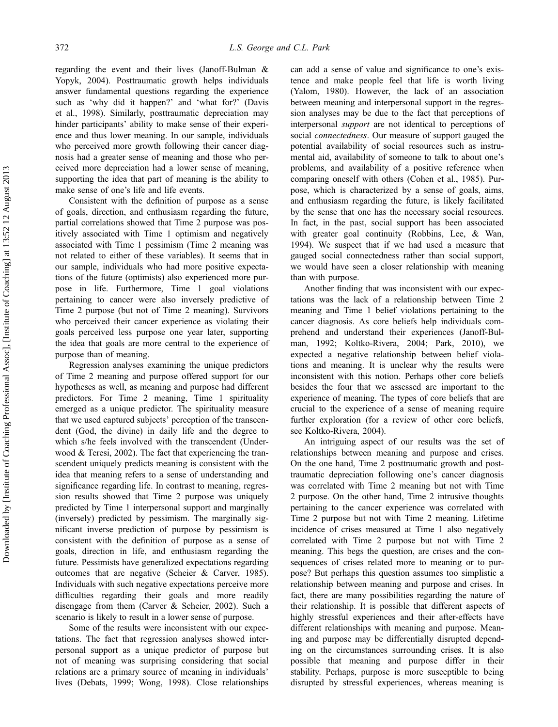regarding the event and their lives (Janoff-Bulman & Yopyk, 2004). Posttraumatic growth helps individuals answer fundamental questions regarding the experience such as 'why did it happen?' and 'what for?' (Davis et al., 1998). Similarly, posttraumatic depreciation may hinder participants' ability to make sense of their experience and thus lower meaning. In our sample, individuals who perceived more growth following their cancer diagnosis had a greater sense of meaning and those who perceived more depreciation had a lower sense of meaning, supporting the idea that part of meaning is the ability to make sense of one's life and life events.

Consistent with the definition of purpose as a sense of goals, direction, and enthusiasm regarding the future, partial correlations showed that Time 2 purpose was positively associated with Time 1 optimism and negatively associated with Time 1 pessimism (Time 2 meaning was not related to either of these variables). It seems that in our sample, individuals who had more positive expectations of the future (optimists) also experienced more purpose in life. Furthermore, Time 1 goal violations pertaining to cancer were also inversely predictive of Time 2 purpose (but not of Time 2 meaning). Survivors who perceived their cancer experience as violating their goals perceived less purpose one year later, supporting the idea that goals are more central to the experience of purpose than of meaning.

Regression analyses examining the unique predictors of Time 2 meaning and purpose offered support for our hypotheses as well, as meaning and purpose had different predictors. For Time 2 meaning, Time 1 spirituality emerged as a unique predictor. The spirituality measure that we used captured subjects' perception of the transcendent (God, the divine) in daily life and the degree to which s/he feels involved with the transcendent (Underwood & Teresi, 2002). The fact that experiencing the transcendent uniquely predicts meaning is consistent with the idea that meaning refers to a sense of understanding and significance regarding life. In contrast to meaning, regression results showed that Time 2 purpose was uniquely predicted by Time 1 interpersonal support and marginally (inversely) predicted by pessimism. The marginally significant inverse prediction of purpose by pessimism is consistent with the definition of purpose as a sense of goals, direction in life, and enthusiasm regarding the future. Pessimists have generalized expectations regarding outcomes that are negative (Scheier & Carver, 1985). Individuals with such negative expectations perceive more difficulties regarding their goals and more readily disengage from them (Carver & Scheier, 2002). Such a scenario is likely to result in a lower sense of purpose.

Some of the results were inconsistent with our expectations. The fact that regression analyses showed interpersonal support as a unique predictor of purpose but not of meaning was surprising considering that social relations are a primary source of meaning in individuals' lives (Debats, 1999; Wong, 1998). Close relationships can add a sense of value and significance to one's existence and make people feel that life is worth living (Yalom, 1980). However, the lack of an association between meaning and interpersonal support in the regression analyses may be due to the fact that perceptions of interpersonal support are not identical to perceptions of social connectedness. Our measure of support gauged the potential availability of social resources such as instrumental aid, availability of someone to talk to about one's problems, and availability of a positive reference when comparing oneself with others (Cohen et al., 1985). Purpose, which is characterized by a sense of goals, aims, and enthusiasm regarding the future, is likely facilitated by the sense that one has the necessary social resources. In fact, in the past, social support has been associated with greater goal continuity (Robbins, Lee, & Wan, 1994). We suspect that if we had used a measure that gauged social connectedness rather than social support, we would have seen a closer relationship with meaning than with purpose.

Another finding that was inconsistent with our expectations was the lack of a relationship between Time 2 meaning and Time 1 belief violations pertaining to the cancer diagnosis. As core beliefs help individuals comprehend and understand their experiences (Janoff-Bulman, 1992; Koltko-Rivera, 2004; Park, 2010), we expected a negative relationship between belief violations and meaning. It is unclear why the results were inconsistent with this notion. Perhaps other core beliefs besides the four that we assessed are important to the experience of meaning. The types of core beliefs that are crucial to the experience of a sense of meaning require further exploration (for a review of other core beliefs, see Koltko-Rivera, 2004).

An intriguing aspect of our results was the set of relationships between meaning and purpose and crises. On the one hand, Time 2 posttraumatic growth and posttraumatic depreciation following one's cancer diagnosis was correlated with Time 2 meaning but not with Time 2 purpose. On the other hand, Time 2 intrusive thoughts pertaining to the cancer experience was correlated with Time 2 purpose but not with Time 2 meaning. Lifetime incidence of crises measured at Time 1 also negatively correlated with Time 2 purpose but not with Time 2 meaning. This begs the question, are crises and the consequences of crises related more to meaning or to purpose? But perhaps this question assumes too simplistic a relationship between meaning and purpose and crises. In fact, there are many possibilities regarding the nature of their relationship. It is possible that different aspects of highly stressful experiences and their after-effects have different relationships with meaning and purpose. Meaning and purpose may be differentially disrupted depending on the circumstances surrounding crises. It is also possible that meaning and purpose differ in their stability. Perhaps, purpose is more susceptible to being disrupted by stressful experiences, whereas meaning is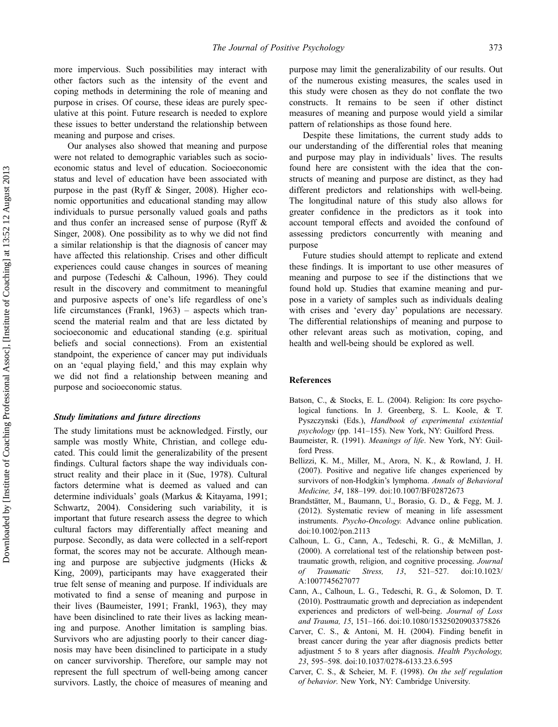more impervious. Such possibilities may interact with other factors such as the intensity of the event and coping methods in determining the role of meaning and purpose in crises. Of course, these ideas are purely speculative at this point. Future research is needed to explore these issues to better understand the relationship between meaning and purpose and crises.

Our analyses also showed that meaning and purpose were not related to demographic variables such as socioeconomic status and level of education. Socioeconomic status and level of education have been associated with purpose in the past (Ryff & Singer, 2008). Higher economic opportunities and educational standing may allow individuals to pursue personally valued goals and paths and thus confer an increased sense of purpose (Ryff & Singer, 2008). One possibility as to why we did not find a similar relationship is that the diagnosis of cancer may have affected this relationship. Crises and other difficult experiences could cause changes in sources of meaning and purpose (Tedeschi & Calhoun, 1996). They could result in the discovery and commitment to meaningful and purposive aspects of one's life regardless of one's life circumstances (Frankl, 1963) – aspects which transcend the material realm and that are less dictated by socioeconomic and educational standing (e.g. spiritual beliefs and social connections). From an existential standpoint, the experience of cancer may put individuals on an 'equal playing field,' and this may explain why we did not find a relationship between meaning and purpose and socioeconomic status.

#### Study limitations and future directions

The study limitations must be acknowledged. Firstly, our sample was mostly White, Christian, and college educated. This could limit the generalizability of the present findings. Cultural factors shape the way individuals construct reality and their place in it (Sue, 1978). Cultural factors determine what is deemed as valued and can determine individuals' goals (Markus & Kitayama, 1991; Schwartz, 2004). Considering such variability, it is important that future research assess the degree to which cultural factors may differentially affect meaning and purpose. Secondly, as data were collected in a self-report format, the scores may not be accurate. Although meaning and purpose are subjective judgments (Hicks & King, 2009), participants may have exaggerated their true felt sense of meaning and purpose. If individuals are motivated to find a sense of meaning and purpose in their lives (Baumeister, 1991; Frankl, 1963), they may have been disinclined to rate their lives as lacking meaning and purpose. Another limitation is sampling bias. Survivors who are adjusting poorly to their cancer diagnosis may have been disinclined to participate in a study on cancer survivorship. Therefore, our sample may not represent the full spectrum of well-being among cancer survivors. Lastly, the choice of measures of meaning and

purpose may limit the generalizability of our results. Out of the numerous existing measures, the scales used in this study were chosen as they do not conflate the two constructs. It remains to be seen if other distinct measures of meaning and purpose would yield a similar pattern of relationships as those found here.

Despite these limitations, the current study adds to our understanding of the differential roles that meaning and purpose may play in individuals' lives. The results found here are consistent with the idea that the constructs of meaning and purpose are distinct, as they had different predictors and relationships with well-being. The longitudinal nature of this study also allows for greater confidence in the predictors as it took into account temporal effects and avoided the confound of assessing predictors concurrently with meaning and purpose

Future studies should attempt to replicate and extend these findings. It is important to use other measures of meaning and purpose to see if the distinctions that we found hold up. Studies that examine meaning and purpose in a variety of samples such as individuals dealing with crises and 'every day' populations are necessary. The differential relationships of meaning and purpose to other relevant areas such as motivation, coping, and health and well-being should be explored as well.

#### References

- Batson, C., & Stocks, E. L. (2004). Religion: Its core psychological functions. In J. Greenberg, S. L. Koole, & T. Pyszczynski (Eds.), Handbook of experimental existential psychology (pp. 141–155). New York, NY: Guilford Press.
- Baumeister, R. (1991). Meanings of life. New York, NY: Guilford Press.
- Bellizzi, K. M., Miller, M., Arora, N. K., & Rowland, J. H. (2007). Positive and negative life changes experienced by survivors of non-Hodgkin's lymphoma. Annals of Behavioral Medicine, 34, 188–199. doi:10.1007/BF02872673
- Brandstätter, M., Baumann, U., Borasio, G. D., & Fegg, M. J. (2012). Systematic review of meaning in life assessment instruments. Psycho-Oncology. Advance online publication. doi:10.1002/pon.2113
- Calhoun, L. G., Cann, A., Tedeschi, R. G., & McMillan, J. (2000). A correlational test of the relationship between posttraumatic growth, religion, and cognitive processing. Journal of Traumatic Stress, 13, 521–527. doi:10.1023/ A:1007745627077
- Cann, A., Calhoun, L. G., Tedeschi, R. G., & Solomon, D. T. (2010). Posttraumatic growth and depreciation as independent experiences and predictors of well-being. Journal of Loss and Trauma, 15, 151–166. doi:10.1080/15325020903375826
- Carver, C. S., & Antoni, M. H. (2004). Finding benefit in breast cancer during the year after diagnosis predicts better adjustment 5 to 8 years after diagnosis. Health Psychology, 23, 595–598. doi:10.1037/0278-6133.23.6.595
- Carver, C. S., & Scheier, M. F. (1998). On the self regulation of behavior. New York, NY: Cambridge University.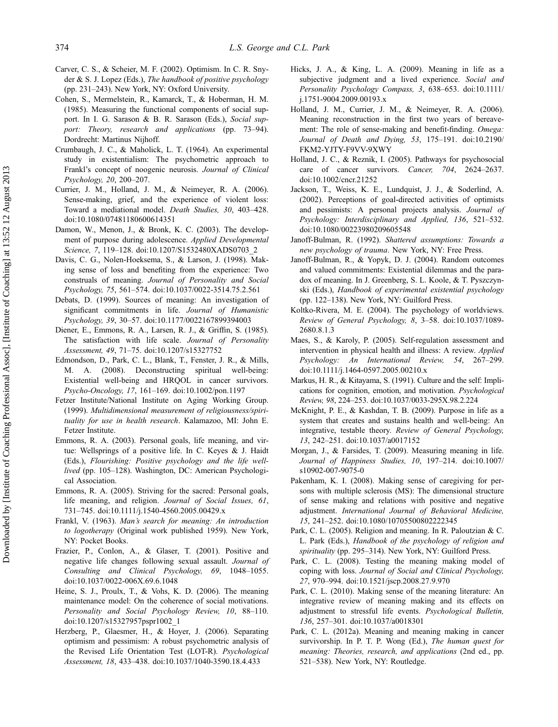- Carver, C. S., & Scheier, M. F. (2002). Optimism. In C. R. Snyder & S. J. Lopez (Eds.), The handbook of positive psychology (pp. 231–243). New York, NY: Oxford University.
- Cohen, S., Mermelstein, R., Kamarck, T., & Hoberman, H. M. (1985). Measuring the functional components of social support. In I. G. Sarason & B. R. Sarason (Eds.), Social support: Theory, research and applications (pp. 73–94). Dordrecht: Martinus Nijhoff.
- Crumbaugh, J. C., & Maholick, L. T. (1964). An experimental study in existentialism: The psychometric approach to Frankl's concept of noogenic neurosis. Journal of Clinical Psychology, 20, 200–207.
- Currier, J. M., Holland, J. M., & Neimeyer, R. A. (2006). Sense-making, grief, and the experience of violent loss: Toward a mediational model. Death Studies, 30, 403–428. doi:10.1080/07481180600614351
- Damon, W., Menon, J., & Bronk, K. C. (2003). The development of purpose during adolescence. Applied Developmental Science, 7, 119-128. doi:10.1207/S1532480XADS0703\_2
- Davis, C. G., Nolen-Hoeksema, S., & Larson, J. (1998). Making sense of loss and benefiting from the experience: Two construals of meaning. Journal of Personality and Social Psychology, 75, 561–574. doi:10.1037/0022-3514.75.2.561
- Debats, D. (1999). Sources of meaning: An investigation of significant commitments in life. Journal of Humanistic Psychology, 39, 30–57. doi:10.1177/0022167899394003
- Diener, E., Emmons, R. A., Larsen, R. J., & Griffin, S. (1985). The satisfaction with life scale. Journal of Personality Assessment, 49, 71–75. doi:10.1207/s15327752
- Edmondson, D., Park, C. L., Blank, T., Fenster, J. R., & Mills, M. A. (2008). Deconstructing spiritual well-being: Existential well-being and HRQOL in cancer survivors. Psycho-Oncology, 17, 161–169. doi:10.1002/pon.1197
- Fetzer Institute/National Institute on Aging Working Group. (1999). Multidimensional measurement of religiousness/spirituality for use in health research. Kalamazoo, MI: John E. Fetzer Institute.
- Emmons, R. A. (2003). Personal goals, life meaning, and virtue: Wellsprings of a positive life. In C. Keyes & J. Haidt (Eds.), Flourishing: Positive psychology and the life welllived (pp. 105–128). Washington, DC: American Psychological Association.
- Emmons, R. A. (2005). Striving for the sacred: Personal goals, life meaning, and religion. Journal of Social Issues, 61, 731–745. doi:10.1111/j.1540-4560.2005.00429.x
- Frankl, V. (1963). Man's search for meaning: An introduction to logotherapy (Original work published 1959). New York, NY: Pocket Books.
- Frazier, P., Conlon, A., & Glaser, T. (2001). Positive and negative life changes following sexual assault. Journal of Consulting and Clinical Psychology, 69, 1048–1055. doi:10.1037/0022-006X.69.6.1048
- Heine, S. J., Proulx, T., & Vohs, K. D. (2006). The meaning maintenance model: On the coherence of social motivations. Personality and Social Psychology Review, 10, 88–110. doi:10.1207/s15327957pspr1002\_1
- Herzberg, P., Glaesmer, H., & Hoyer, J. (2006). Separating optimism and pessimism: A robust psychometric analysis of the Revised Life Orientation Test (LOT-R). Psychological Assessment, 18, 433–438. doi:10.1037/1040-3590.18.4.433
- Hicks, J. A., & King, L. A. (2009). Meaning in life as a subjective judgment and a lived experience. Social and Personality Psychology Compass, 3, 638–653. doi:10.1111/ j.1751-9004.2009.00193.x
- Holland, J. M., Currier, J. M., & Neimeyer, R. A. (2006). Meaning reconstruction in the first two years of bereavement: The role of sense-making and benefit-finding. Omega: Journal of Death and Dying, 53, 175–191. doi:10.2190/ FKM2-YJTY-F9VV-9XWY
- Holland, J. C., & Reznik, I. (2005). Pathways for psychosocial care of cancer survivors. Cancer, 704, 2624–2637. doi:10.1002/cncr.21252
- Jackson, T., Weiss, K. E., Lundquist, J. J., & Soderlind, A. (2002). Perceptions of goal-directed activities of optimists and pessimists: A personal projects analysis. Journal of Psychology: Interdisciplinary and Applied, 136, 521–532. doi:10.1080/00223980209605548
- Janoff-Bulman, R. (1992). Shattered assumptions: Towards a new psychology of trauma. New York, NY: Free Press.
- Janoff-Bulman, R., & Yopyk, D. J. (2004). Random outcomes and valued commitments: Existential dilemmas and the paradox of meaning. In J. Greenberg, S. L. Koole, & T. Pyszczynski (Eds.), Handbook of experimental existential psychology (pp. 122–138). New York, NY: Guilford Press.
- Koltko-Rivera, M. E. (2004). The psychology of worldviews. Review of General Psychology, 8, 3–58. doi:10.1037/1089- 2680.8.1.3
- Maes, S., & Karoly, P. (2005). Self-regulation assessment and intervention in physical health and illness: A review. Applied Psychology: An International Review, 54, 267–299. doi:10.1111/j.1464-0597.2005.00210.x
- Markus, H. R., & Kitayama, S. (1991). Culture and the self: Implications for cognition, emotion, and motivation. Psychological Review, 98, 224–253. doi:10.1037/0033-295X.98.2.224
- McKnight, P. E., & Kashdan, T. B. (2009). Purpose in life as a system that creates and sustains health and well-being: An integrative, testable theory. Review of General Psychology, 13, 242–251. doi:10.1037/a0017152
- Morgan, J., & Farsides, T. (2009). Measuring meaning in life. Journal of Happiness Studies, 10, 197–214. doi:10.1007/ s10902-007-9075-0
- Pakenham, K. I. (2008). Making sense of caregiving for persons with multiple sclerosis (MS): The dimensional structure of sense making and relations with positive and negative adjustment. International Journal of Behavioral Medicine, 15, 241–252. doi:10.1080/10705500802222345
- Park, C. L. (2005). Religion and meaning. In R. Paloutzian & C. L. Park (Eds.), Handbook of the psychology of religion and spirituality (pp. 295-314). New York, NY: Guilford Press.
- Park, C. L. (2008). Testing the meaning making model of coping with loss. Journal of Social and Clinical Psychology, 27, 970–994. doi:10.1521/jscp.2008.27.9.970
- Park, C. L. (2010). Making sense of the meaning literature: An integrative review of meaning making and its effects on adjustment to stressful life events. Psychological Bulletin, 136, 257–301. doi:10.1037/a0018301
- Park, C. L. (2012a). Meaning and meaning making in cancer survivorship. In P. T. P. Wong (Ed.), The human quest for meaning: Theories, research, and applications (2nd ed., pp. 521–538). New York, NY: Routledge.